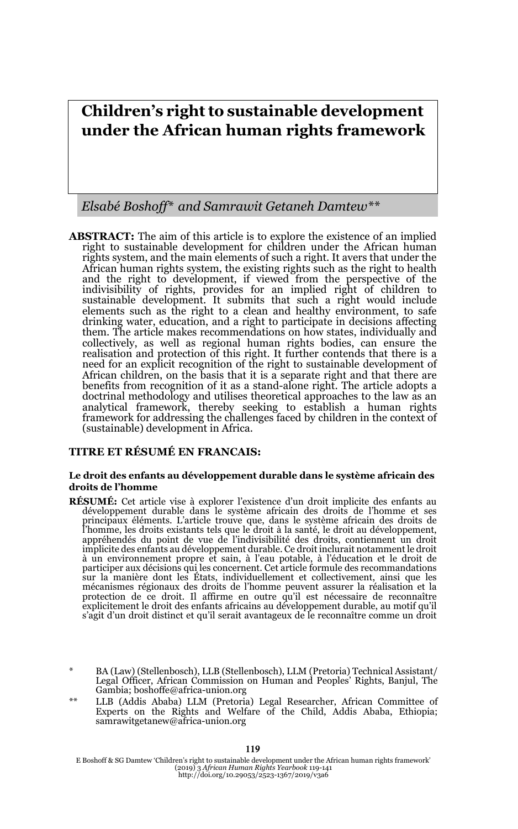# **Children's right to sustainable development under the African human rights framework**

*Elsabé Boshoff\* and Samrawit Getaneh Damtew\*\**

**ABSTRACT:** The aim of this article is to explore the existence of an implied right to sustainable development for children under the African human rights system, and the main elements of such a right. It avers that under the African human rights system, the existing rights such as the right to health and the right to development, if viewed from the perspective of the indivisibility of rights, provides for an implied right of children to sustainable development. It submits that such a right would include elements such as the right to a clean and healthy environment, to safe drinking water, education, and a right to participate in decisions affecting them. The article makes recommendations on how states, individually and collectively, as well as regional human rights bodies, can ensure the realisation and protection of this right. It further contends that there is a need for an explicit recognition of the right to sustainable development of African children, on the basis that it is a separate right and that there are benefits from recognition of it as a stand-alone right. The article adopts a doctrinal methodology and utilises theoretical approaches to the law as an analytical framework, thereby seeking to establish a human rights framework for addressing the challenges faced by children in the context of (sustainable) development in Africa.

#### **TITRE ET RÉSUMÉ EN FRANCAIS:**

#### **Le droit des enfants au développement durable dans le système africain des droits de l'homme**

- **RÉSUMÉ:** Cet article vise à explorer l'existence d'un droit implicite des enfants au développement durable dans le système africain des droits de l'homme et ses principaux éléments. L'article trouve que, dans le système africain des droits de l'homme, les droits existants tels que le droit à la santé, le droit au développement, appréhendés du point de vue de l'indivisibilité des droits, contiennent un droit implicite des enfants au développement durable. Ce droit inclurait notamment le droit à un environnement propre et sain, à l'eau potable, à l'éducation et le droit de participer aux décisions qui les concernent. Cet article formule des recommandations sur la manière dont les États, individuellement et collectivement, ainsi que les mécanismes régionaux des droits de l'homme peuvent assurer la réalisation et la<br>protection de ce droit. Il affirme en outre qu'il est nécessaire de reconnaître<br>explicitement le droit des enfants africains au développement s'agit d'un droit distinct et qu'il serait avantageux de le reconnaître comme un droit
- \* BA (Law) (Stellenbosch), LLB (Stellenbosch), LLM (Pretoria) Technical Assistant/ Legal Officer, African Commission on Human and Peoples' Rights, Banjul, The Gambia; boshoffe@africa-union.org
- \*\* LLB (Addis Ababa) LLM (Pretoria) Legal Researcher, African Committee of Experts on the Rights and Welfare of the Child, Addis Ababa, Ethiopia; samrawitgetanew@africa-union.org

E Boshoff & SG Damtew 'Children's right to sustainable development under the African human rights framework' (2019) 3 *African Human Rights Yearbook* 119-141 http://doi.org/10.29053/2523-1367/2019/v3a6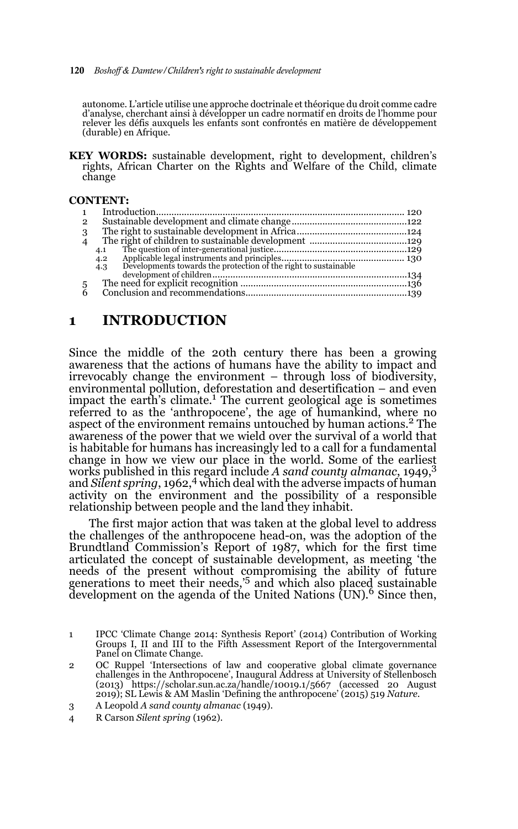#### 120 *Boshoff & Damtew/Children's right to sustainable development*

autonome. L'article utilise une approche doctrinale et théorique du droit comme cadre d'analyse, cherchant ainsi à développer un cadre normatif en droits de l'homme pour relever les défis auxquels les enfants sont confrontés en matière de développement (durable) en Afrique.

**KEY WORDS:** sustainable development, right to development, children's rights, African Charter on the Rights and Welfare of the Child, climate change

#### **CONTENT:**

| $\mathbf{1}$   |                                                                        |  |
|----------------|------------------------------------------------------------------------|--|
| $\overline{2}$ |                                                                        |  |
| 3              |                                                                        |  |
| $\overline{4}$ |                                                                        |  |
|                | 4.1                                                                    |  |
|                | 4.2                                                                    |  |
|                | Developments towards the protection of the right to sustainable<br>4.3 |  |
|                |                                                                        |  |
| 5              |                                                                        |  |
| 6              |                                                                        |  |
|                |                                                                        |  |

## **1 INTRODUCTION**

Since the middle of the 20th century there has been a growing awareness that the actions of humans have the ability to impact and irrevocably change the environment – through loss of biodiversity, environmental pollution, deforestation and desertification – and even impact the earth's climate.<sup>1</sup> The current geological age is sometimes referred to as the 'anthropocene', the age of humankind, where no aspect of the environment remains untouched by human actions.<sup>2</sup> The awareness of the power that we wield over the survival of a world that is habitable for humans has increasingly led to a call for a fundamental change in how we view our place in the world. Some of the earliest works published in this regard include *A sand county almanac*, 1949,3 and *Silent spring*, 1962,4 which deal with the adverse impacts of human activity on the environment and the possibility of a responsible relationship between people and the land they inhabit.

The first major action that was taken at the global level to address the challenges of the anthropocene head-on, was the adoption of the Brundtland Commission's Report of 1987, which for the first time articulated the concept of sustainable development, as meeting 'the needs of the present without compromising the ability of future generations to meet their needs,'5 and which also placed sustainable development on the agenda of the United Nations  $(UN)$ <sup>6</sup> Since then,

- 2 OC Ruppel 'Intersections of law and cooperative global climate governance challenges in the Anthropocene', Inaugural Address at University of Stellenbosch (2013) https://scholar.sun.ac.za/handle/10019.1/5667 (accessed 20 August 2019); SL Lewis & AM Maslin 'Defining the anthropocene' (2015) 519 *Nature*.
- 3 A Leopold *A sand county almanac* (1949).
- 4 R Carson *Silent spring* (1962).

<sup>1</sup> IPCC 'Climate Change 2014: Synthesis Report' (2014) Contribution of Working Groups I, II and III to the Fifth Assessment Report of the Intergovernmental Panel on Climate Change.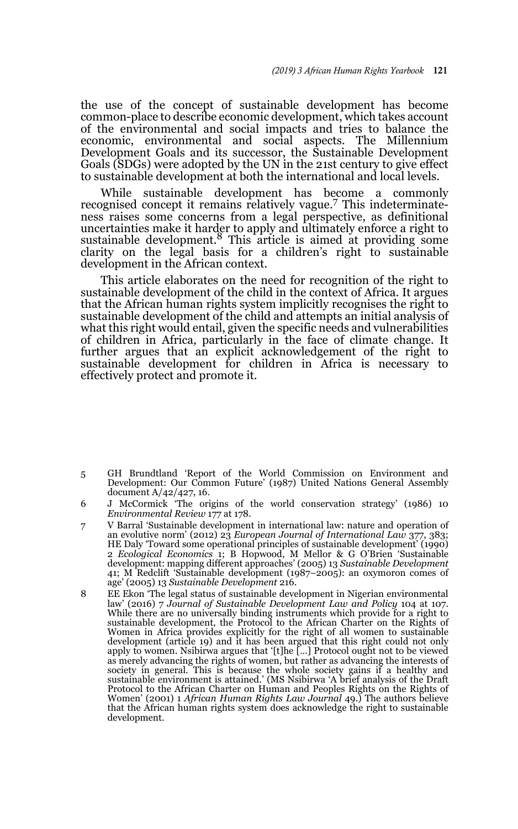the use of the concept of sustainable development has become common-place to describe economic development, which takes account of the environmental and social impacts and tries to balance the economic, environmental and social aspects. The Millennium Development Goals and its successor, the Sustainable Development Goals (SDGs) were adopted by the UN in the 21st century to give effect to sustainable development at both the international and local levels.

While sustainable development has become a commonly recognised concept it remains relatively vague.7 This indeterminateness raises some concerns from a legal perspective, as definitional uncertainties make it harder to apply and ultimately enforce a right to sustainable development.8 This article is aimed at providing some clarity on the legal basis for a children's right to sustainable development in the African context.

This article elaborates on the need for recognition of the right to sustainable development of the child in the context of Africa. It argues that the African human rights system implicitly recognises the right to sustainable development of the child and attempts an initial analysis of what this right would entail, given the specific needs and vulnerabilities of children in Africa, particularly in the face of climate change. It further argues that an explicit acknowledgement of the right to sustainable development for children in Africa is necessary to effectively protect and promote it.

- 5 GH Brundtland 'Report of the World Commission on Environment and Development: Our Common Future' (1987) United Nations General Assembly document A/42/427, 16.
- 6 J McCormick 'The origins of the world conservation strategy' (1986) 10 *Environmental Review* 177 at 178.
- 7 V Barral 'Sustainable development in international law: nature and operation of an evolutive norm' (2012) 23 *European Journal of International Law* 377, 383; HE Daly 'Toward some operational principles of sustainable development' (1990) 2 *Ecological Economics* 1; B Hopwood, M Mellor & G O'Brien 'Sustainable development: mapping different approaches' (2005) 13 *Sustainable Development* 41; M Redclift 'Sustainable development (1987–2005): an oxymoron comes of age' (2005) 13 *Sustainable Development* 216.
- 8 EE Ekon 'The legal status of sustainable development in Nigerian environmental law' (2016) 7 *Journal of Sustainable Development Law and Policy* 104 at 107. While there are no universally binding instruments which provide for a right to sustainable development, the Protocol to the African Charter on the Rights of Women in Africa provides explicitly for the right of all women to sustainable development (article 19) and it has been argued that this right could not only apply to women. Nsibirwa argues that '[t]he […] Protocol ought not to be viewed as merely advancing the rights of women, but rather as advancing the interests of<br>society in general. This is because the whole society gains if a healthy and<br>sustainable environment is attained.' (MS Nsibirwa 'A brief ana Protocol to the African Charter on Human and Peoples Rights on the Rights of Women' (2001) 1 *African Human Rights Law Journal* 49.) The authors believe that the African human rights system does acknowledge the right to sustainable development.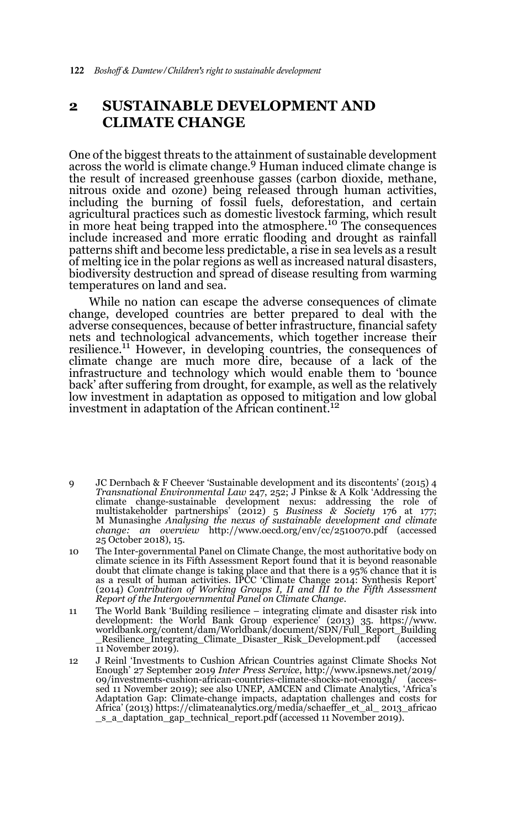## **2 SUSTAINABLE DEVELOPMENT AND CLIMATE CHANGE**

One of the biggest threats to the attainment of sustainable development across the world is climate change.<sup>9</sup> Human induced climate change is the result of increased greenhouse gasses (carbon dioxide, methane, nitrous oxide and ozone) being released through human activities, including the burning of fossil fuels, deforestation, and certain agricultural practices such as domestic livestock farming, which result in more heat being trapped into the atmosphere.<sup>10</sup> The consequences include increased and more erratic flooding and drought as rainfall patterns shift and become less predictable, a rise in sea levels as a result of melting ice in the polar regions as well as increased natural disasters, biodiversity destruction and spread of disease resulting from warming temperatures on land and sea.

While no nation can escape the adverse consequences of climate change, developed countries are better prepared to deal with the adverse consequences, because of better infrastructure, financial safety nets and technological advancements, which together increase their resilience.<sup>11</sup> However, in developing countries, the consequences of climate change are much more dire, because of a lack of the infrastructure and technology which would enable them to 'bounce back' after suffering from drought, for example, as well as the relatively low investment in adaptation as opposed to mitigation and low global investment in adaptation of the African continent.<sup>12</sup>

- 9 JC Dernbach & F Cheever 'Sustainable development and its discontents' (2015) 4 *Transnational Environmental Law* 247, 252; J Pinkse & A Kolk 'Addressing the climate change-sustainable development nexus: addressing the role of multistakeholder partnerships' (2012) 5 *Business & Society 176* at 177;<br>M Munasinghe *Analysing the nexus of sustainable development and climate<br><i>change: an overview* http://www.oecd.org/env/cc/2510070.pdf (accessed 25 October 2018), 15.
- 10 The Inter-governmental Panel on Climate Change, the most authoritative body on climate science in its Fifth Assessment Report found that it is beyond reasonable doubt that climate change is taking place and that there is a 95% chance that it is as a result of human activities. IPCC 'Climate Change 2014: Synthesis Report' (2014) *Contribution of Working Groups I, II and III to the Fifth Assessment Report of the Intergovernmental Panel on Climate Change*.
- 11 The World Bank 'Building resilience integrating climate and disaster risk into development: the World Bank Group experience' (2013) 35. https://www. worldbank.org/content/dam/Worldbank/document/SDN/Full\_Report\_Building \_Resilience\_Integrating\_Climate\_Disaster\_Risk\_Development.pdf (accessed 11 November 2019).
- 12 J Reinl 'Investments to Cushion African Countries against Climate Shocks Not Enough' 27 September 2019 *Inter Press Service*, http://www.ipsnews.net/2019/ 09/investments-cushion-african-countries-climate-shocks-not-enough/ (accessed 11 November 2019); see also UNEP, AMCEN and Climate Analytics, 'Africa's Adaptation Gap: Climate-change impacts, adaptation challenges and costs for Africa' (2013) https://climateanalytics.org/media/schaeffer\_et\_al\_ 2013\_africao \_s\_a\_daptation\_gap\_technical\_report.pdf (accessed 11 November 2019).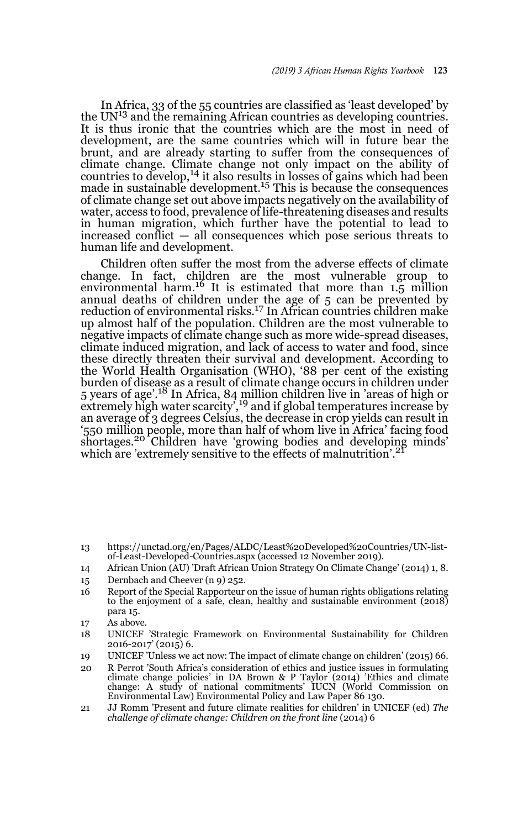In Africa, 33 of the 55 countries are classified as 'least developed' by the  $UN<sup>13</sup>$  and the remaining African countries as developing countries. It is thus ironic that the countries which are the most in need of development, are the same countries which will in future bear the brunt, and are already starting to suffer from the consequences of climate change. Climate change not only impact on the ability of countries to develop,<sup>14</sup> it also results in losses of gains which had been made in sustainable development.<sup>15</sup> This is because the consequences of climate change set out above impacts negatively on the availability of water, access to food, prevalence of life-threatening diseases and results in human migration, which further have the potential to lead to increased conflict — all consequences which pose serious threats to human life and development.

Children often suffer the most from the adverse effects of climate change. In fact, children are the most vulnerable group to environmental harm.16 It is estimated that more than 1.5 million annual deaths of children under the age of 5 can be prevented by reduction of environmental risks.17 In African countries children make up almost half of the population. Children are the most vulnerable to negative impacts of climate change such as more wide-spread diseases, climate induced migration, and lack of access to water and food, since these directly threaten their survival and development. According to the World Health Organisation (WHO), '88 per cent of the existing burden of disease as a result of climate change occurs in children under 5 years of age'.<sup>18</sup> In Africa, 84 million children live in 'areas of high or extremely high water scarcity',<sup>19</sup> and if global temperatures increase by an average of 3 degrees Celsius, the decrease in crop yields can result in '550 million people, more than half of whom live in Africa' facing food shortages.20 Children have 'growing bodies and developing minds' which are 'extremely sensitive to the effects of malnutrition'.<sup>2</sup>

- 13 https://unctad.org/en/Pages/ALDC/Least%20Developed%20Countries/UN-listof-Least-Developed-Countries.aspx (accessed 12 November 2019).
- 14 African Union (AU) 'Draft African Union Strategy On Climate Change' (2014) 1, 8.
- 15 Dernbach and Cheever (n 9) 252.
- 16 Report of the Special Rapporteur on the issue of human rights obligations relating to the enjoyment of a safe, clean, healthy and sustainable environment (2018) para 15.
- 17 As above.
- 18 UNICEF 'Strategic Framework on Environmental Sustainability for Children 2016-2017' (2015) 6.
- 19 UNICEF 'Unless we act now: The impact of climate change on children' (2015) 66.
- 20 R Perrot 'South Africa's consideration of ethics and justice issues in formulating climate change policies' in DA Brown & P Taylor (2014) 'Ethics and climate change: A study of national commitments' IUCN (World Commission on Environmental Law) Environmental Policy and Law Paper 86 130.
- 21 JJ Romm 'Present and future climate realities for children' in UNICEF (ed) *The challenge of climate change: Children on the front line* (2014) 6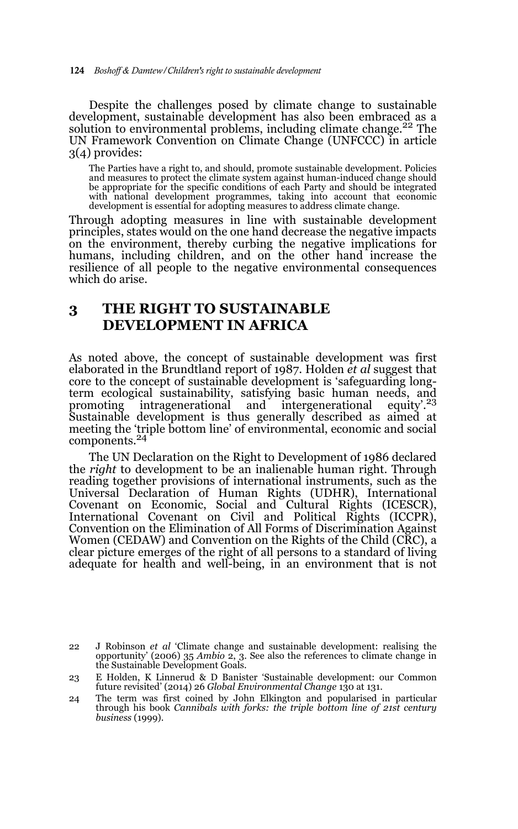Despite the challenges posed by climate change to sustainable development, sustainable development has also been embraced as a solution to environmental problems, including climate change.<sup>22</sup> The UN Framework Convention on Climate Change (UNFCCC) in article 3(4) provides:

The Parties have a right to, and should, promote sustainable development. Policies and measures to protect the climate system against human-induced change should be appropriate for the specific conditions of each Party and should be integrated with national development programmes, taking into account that economic development is essential for adopting measures to address climate change.

Through adopting measures in line with sustainable development principles, states would on the one hand decrease the negative impacts on the environment, thereby curbing the negative implications for humans, including children, and on the other hand increase the resilience of all people to the negative environmental consequences which do arise.

# **3 THE RIGHT TO SUSTAINABLE DEVELOPMENT IN AFRICA**

As noted above, the concept of sustainable development was first elaborated in the Brundtland report of 1987. Holden *et al* suggest that core to the concept of sustainable development is 'safeguarding longterm ecological sustainability, satisfying basic human needs, and promoting intragenerational and intergenerational equity'.<sup>23</sup> promoting intragenerational and intergenerational Sustainable development is thus generally described as aimed at meeting the 'triple bottom line' of environmental, economic and social components.24

The UN Declaration on the Right to Development of 1986 declared the *right* to development to be an inalienable human right. Through reading together provisions of international instruments, such as the Universal Declaration of Human Rights (UDHR), International Covenant on Economic, Social and Cultural Rights (ICESCR), International Covenant on Civil and Political Rights (ICCPR), Convention on the Elimination of All Forms of Discrimination Against Women (CEDAW) and Convention on the Rights of the Child (CRC), a clear picture emerges of the right of all persons to a standard of living adequate for health and well-being, in an environment that is not

<sup>22</sup> J Robinson *et al* 'Climate change and sustainable development: realising the opportunity' (2006) 35 *Ambio* 2, 3. See also the references to climate change in the Sustainable Development Goals.

<sup>23</sup> E Holden, K Linnerud & D Banister 'Sustainable development: our Common future revisited' (2014) 26 *Global Environmental Change* 130 at 131.

<sup>24</sup> The term was first coined by John Elkington and popularised in particular through his book *Cannibals with forks: the triple bottom line of 21st century business* (1999).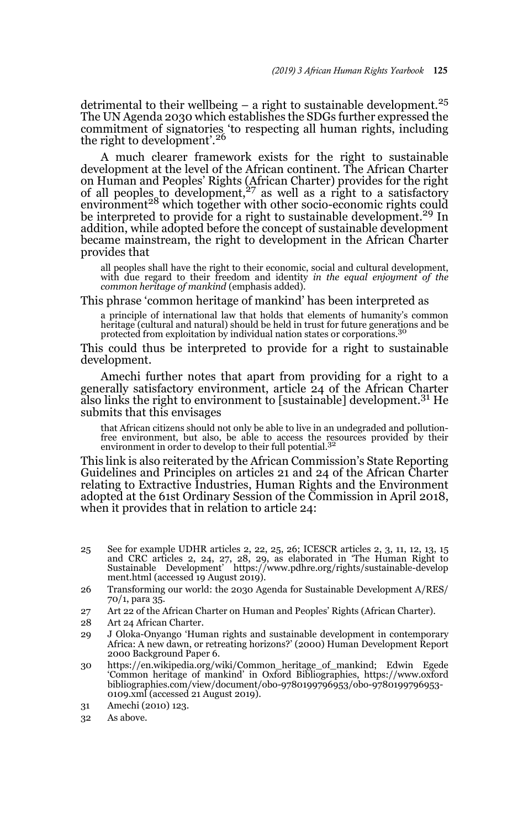detrimental to their wellbeing  $-$  a right to sustainable development.<sup>25</sup> The UN Agenda 2030 which establishes the SDGs further expressed the commitment of signatories 'to respecting all human rights, including the right to development'.<sup>26</sup>

A much clearer framework exists for the right to sustainable development at the level of the African continent. The African Charter on Human and Peoples' Rights (African Charter) provides for the right of all peoples to development,<sup>27</sup> as well as a right to a satisfactory environment<sup>28</sup> which together with other socio-economic rights could be interpreted to provide for a right to sustainable development.<sup>29</sup> In addition, while adopted before the concept of sustainable development became mainstream, the right to development in the African Charter provides that

all peoples shall have the right to their economic, social and cultural development, with due regard to their freedom and identity *in the equal enjoyment of the common heritage of mankind* (emphasis added).

This phrase 'common heritage of mankind' has been interpreted as

a principle of international law that holds that elements of humanity's common heritage (cultural and natural) should be held in trust for future generations and be protected from exploitation by individual nation states or corporations.<sup>30</sup>

This could thus be interpreted to provide for a right to sustainable development.

Amechi further notes that apart from providing for a right to a generally satisfactory environment, article 24 of the African Charter also links the right to environment to [sustainable] development.<sup>31</sup> He submits that this envisages

that African citizens should not only be able to live in an undegraded and pollutionfree environment, but also, be able to access the resources provided by their environment in order to develop to their full potential.<sup>32</sup>

This link is also reiterated by the African Commission's State Reporting Guidelines and Principles on articles 21 and 24 of the African Charter relating to Extractive Industries, Human Rights and the Environment adopted at the 61st Ordinary Session of the Commission in April 2018, when it provides that in relation to article 24:

- 25 See for example UDHR articles 2, 22, 25, 26; ICESCR articles 2, 3, 11, 12, 13, 15 and CRC articles 2, 24, 27, 28, 29, as elaborated in 'The Human Right to Sustainable Development' https://www.pdhre.org/rights/sustainable-develop ment.html (accessed 19 August 2019).
- 26 Transforming our world: the 2030 Agenda for Sustainable Development A/RES/ 70/1, para 35.
- 27 Art 22 of the African Charter on Human and Peoples' Rights (African Charter).
- 28 Art 24 African Charter.
- 29 J Oloka-Onyango 'Human rights and sustainable development in contemporary Africa: A new dawn, or retreating horizons?' (2000) Human Development Report 2000 Background Paper 6.
- 30 https://en.wikipedia.org/wiki/Common\_heritage\_of\_mankind; Edwin Egede 'Common heritage of mankind' in Oxford Bibliographies, https://www.oxford bibliographies.com/view/document/obo-9780199796953/obo-9780199796953- 0109.xml (accessed 21 August 2019).
- 31 Amechi (2010) 123.
- 32 As above.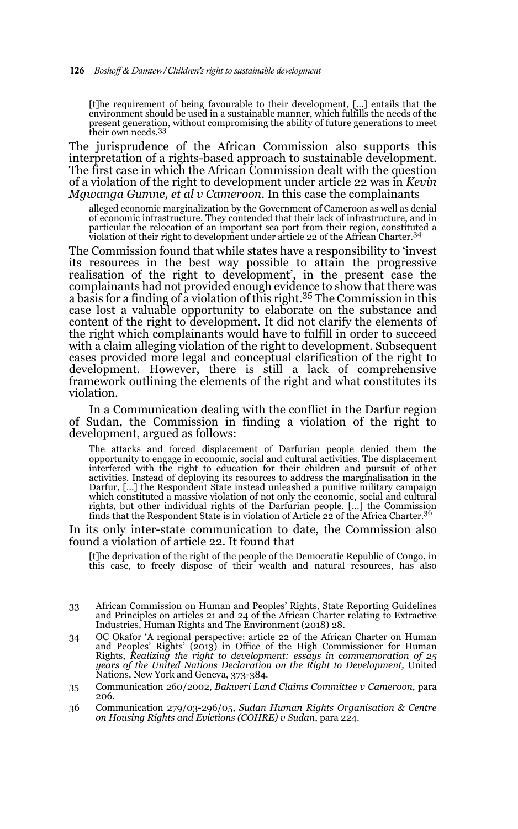[t]he requirement of being favourable to their development, […] entails that the environment should be used in a sustainable manner, which fulfills the needs of the present generation, without compromising the ability of future generations to meet their own needs.<sup>33</sup>

The jurisprudence of the African Commission also supports this interpretation of a rights-based approach to sustainable development. The first case in which the African Commission dealt with the question of a violation of the right to development under article 22 was in *Kevin Mgwanga Gumne, et al v Cameroon*. In this case the complainants

alleged economic marginalization by the Government of Cameroon as well as denial of economic infrastructure. They contended that their lack of infrastructure, and in particular the relocation of an important sea port from their region, constituted a violation of their right to development under article 22 of the African Charter.<sup>34</sup>

The Commission found that while states have a responsibility to 'invest its resources in the best way possible to attain the progressive realisation of the right to development', in the present case the complainants had not provided enough evidence to show that there was a basis for a finding of a violation of this right.<sup>35</sup> The Commission in this case lost a valuable opportunity to elaborate on the substance and content of the right to development. It did not clarify the elements of the right which complainants would have to fulfill in order to succeed with a claim alleging violation of the right to development. Subsequent cases provided more legal and conceptual clarification of the right to development. However, there is still a lack of comprehensive framework outlining the elements of the right and what constitutes its violation.

In a Communication dealing with the conflict in the Darfur region of Sudan, the Commission in finding a violation of the right to development, argued as follows:

The attacks and forced displacement of Darfurian people denied them the opportunity to engage in economic, social and cultural activities. The displacement interfered with the right to education for their children and pursuit of other activities. Instead of deploying its resources to address the marginalisation in the Darfur, […] the Respondent State instead unleashed a punitive military campaign which constituted a massive violation of not only the economic, social and cultural rights, but other individual rights of the Darfurian people. […] the Commission finds that the Respondent State is in violation of Article 22 of the Africa Charter.<sup>36</sup>

In its only inter-state communication to date, the Commission also found a violation of article 22. It found that

[t]he deprivation of the right of the people of the Democratic Republic of Congo, in this case, to freely dispose of their wealth and natural resources, has also

- 33 African Commission on Human and Peoples' Rights, State Reporting Guidelines and Principles on articles 21 and 24 of the African Charter relating to Extractive Industries, Human Rights and The Environment (2018) 28.
- 34 OC Okafor 'A regional perspective: article 22 of the African Charter on Human and Peoples' Rights' (2013) in Office of the High Commissioner for Human Rights, *Realizing the right to development: essays in commemoration of 25 years of the United Nations Declaration on the Right to Development,* United Nations, New York and Geneva, 373-384.
- 35 Communication 260/2002, *Bakweri Land Claims Committee v Cameroon*, para 206.
- 36 Communication 279/03-296/05, *Sudan Human Rights Organisation & Centre on Housing Rights and Evictions (COHRE) v Sudan*, para 224.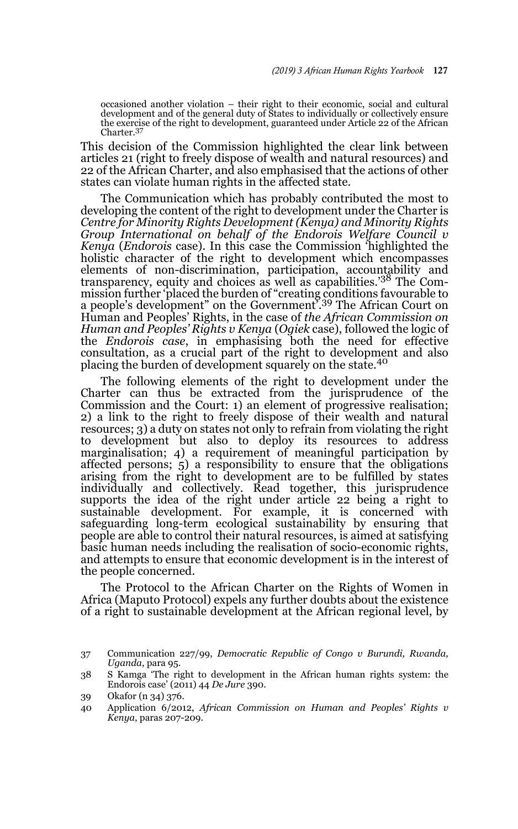occasioned another violation – their right to their economic, social and cultural development and of the general duty of States to individually or collectively ensure the exercise of the right to development, guaranteed under Article 22 of the African Charter.<sup>37</sup>

This decision of the Commission highlighted the clear link between articles 21 (right to freely dispose of wealth and natural resources) and 22 of the African Charter, and also emphasised that the actions of other states can violate human rights in the affected state.

The Communication which has probably contributed the most to developing the content of the right to development under the Charter is *Centre for Minority Rights Development (Kenya) and Minority Rights Group International on behalf of the Endorois Welfare Council v Kenya* (*Endorois* case). In this case the Commission 'highlighted the holistic character of the right to development which encompasses elements of non-discrimination, participation, accountability and transparency, equity and choices as well as capabilities.<sup>'38</sup> The Commission further 'placed the burden of "creating conditions favourable to a people's development" on the Government'.39 The African Court on Human and Peoples' Rights, in the case of *the African Commission on Human and Peoples' Rights v Kenya* (*Ogiek* case), followed the logic of the *Endorois case*, in emphasising both the need for effective consultation, as a crucial part of the right to development and also placing the burden of development squarely on the state.<sup>40</sup>

The following elements of the right to development under the Charter can thus be extracted from the jurisprudence of the Commission and the Court: 1) an element of progressive realisation; 2) a link to the right to freely dispose of their wealth and natural resources; 3) a duty on states not only to refrain from violating the right to development but also to deploy its resources to address marginalisation; 4) a requirement of meaningful participation by affected persons; 5) a responsibility to ensure that the obligations arising from the right to development are to be fulfilled by states individually and collectively. Read together, this jurisprudence supports the idea of the right under article 22 being a right to sustainable development. For example, it is concerned with safeguarding long-term ecological sustainability by ensuring that people are able to control their natural resources, is aimed at satisfying basic human needs including the realisation of socio-economic rights, and attempts to ensure that economic development is in the interest of the people concerned.

The Protocol to the African Charter on the Rights of Women in Africa (Maputo Protocol) expels any further doubts about the existence of a right to sustainable development at the African regional level, by

<sup>37</sup> Communication 227/99, *Democratic Republic of Congo v Burundi, Rwanda, Uganda*, para 95.

<sup>38</sup> S Kamga 'The right to development in the African human rights system: the Endorois case' (2011) 44 *De Jure* 390.

<sup>39</sup> Okafor (n 34) 376.

<sup>40</sup> Application 6/2012, *African Commission on Human and Peoples' Rights v Kenya*, paras 207-209.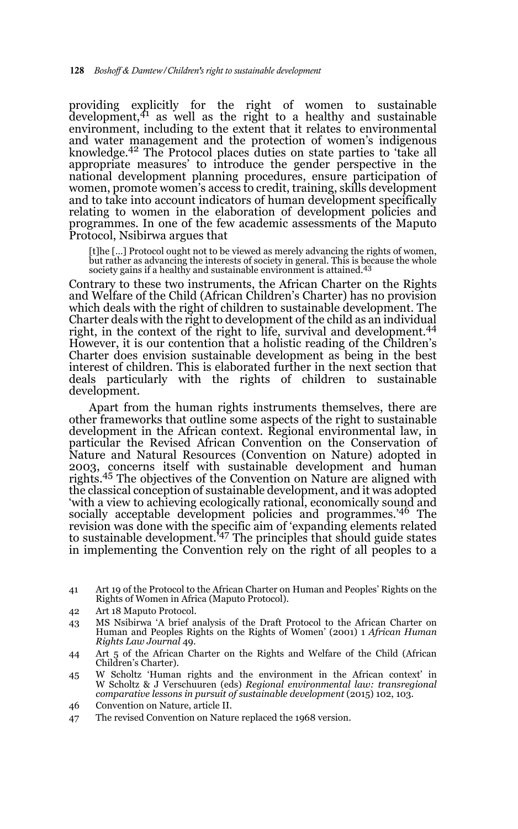providing explicitly for the right of women to sustainable<br>development,<sup>41</sup> as well as the right to a healthy and sustainable environment, including to the extent that it relates to environmental and water management and the protection of women's indigenous knowledge.42 The Protocol places duties on state parties to 'take all appropriate measures' to introduce the gender perspective in the national development planning procedures, ensure participation of women, promote women's access to credit, training, skills development and to take into account indicators of human development specifically relating to women in the elaboration of development policies and programmes. In one of the few academic assessments of the Maputo Protocol, Nsibirwa argues that

[t]he […] Protocol ought not to be viewed as merely advancing the rights of women, but rather as advancing the interests of society in general. This is because the whole<br>society gains if a healthy and sustainable environment is attained.<sup>43</sup>

Contrary to these two instruments, the African Charter on the Rights and Welfare of the Child (African Children's Charter) has no provision which deals with the right of children to sustainable development. The Charter deals with the right to development of the child as an individual right, in the context of the right to life, survival and development.<sup>44</sup> However, it is our contention that a holistic reading of the Children's Charter does envision sustainable development as being in the best interest of children. This is elaborated further in the next section that deals particularly with the rights of children to sustainable development.

Apart from the human rights instruments themselves, there are other frameworks that outline some aspects of the right to sustainable development in the African context. Regional environmental law, in particular the Revised African Convention on the Conservation of Nature and Natural Resources (Convention on Nature) adopted in 2003, concerns itself with sustainable development and human rights.45 The objectives of the Convention on Nature are aligned with the classical conception of sustainable development, and it was adopted 'with a view to achieving ecologically rational, economically sound and socially acceptable development policies and programmes.<sup>'46</sup> The revision was done with the specific aim of 'expanding elements related to sustainable development.'47 The principles that should guide states in implementing the Convention rely on the right of all peoples to a

- 42 Art 18 Maputo Protocol.
- 43 MS Nsibirwa 'A brief analysis of the Draft Protocol to the African Charter on Human and Peoples Rights on the Rights of Women' (2001) 1 *African Human Rights Law Journal* 49.
- 44 Art 5 of the African Charter on the Rights and Welfare of the Child (African Children's Charter).
- 45 W Scholtz 'Human rights and the environment in the African context' in W Scholtz & J Verschuuren (eds) *Regional environmental law: transregional comparative lessons in pursuit of sustainable development* (2015) 102, 103.
- 46 Convention on Nature, article II.
- 47 The revised Convention on Nature replaced the 1968 version.

<sup>41</sup> Art 19 of the Protocol to the African Charter on Human and Peoples' Rights on the Rights of Women in Africa (Maputo Protocol).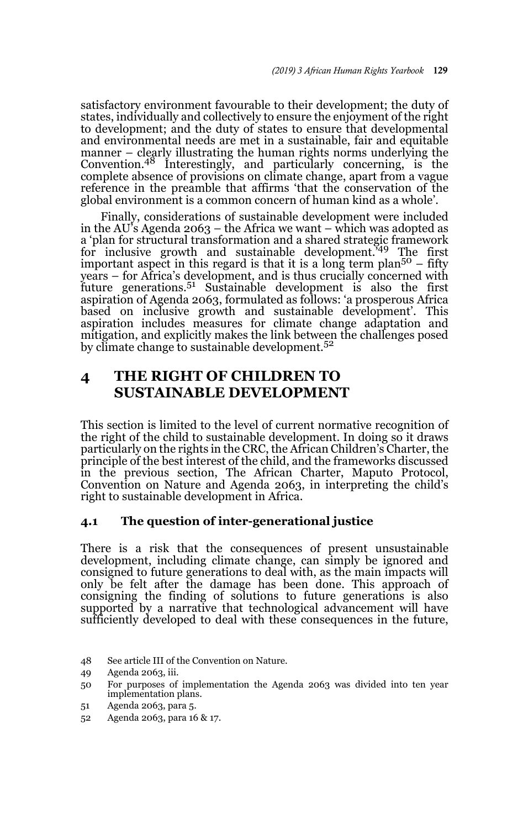satisfactory environment favourable to their development; the duty of states, individually and collectively to ensure the enjoyment of the right to development; and the duty of states to ensure that developmental and environmental needs are met in a sustainable, fair and equitable manner – clearly illustrating the human rights norms underlying the Convention.<sup>48</sup> Interestingly, and particularly concerning, is the complete absence of provisions on climate change, apart from a vague reference in the preamble that affirms 'that the conservation of the global environment is a common concern of human kind as a whole'.

Finally, considerations of sustainable development were included in the AU's Agenda 2063 – the Africa we want – which was adopted as a 'plan for structural transformation and a shared strategic framework for inclusive growth and sustainable development.<sup> $349$ </sup> The first important aspect in this regard is that it is a long term plan<sup>50</sup> – fifty years – for Africa's development, and is thus crucially concerned with future generations.51 Sustainable development is also the first aspiration of Agenda 2063, formulated as follows: 'a prosperous Africa based on inclusive growth and sustainable development'. This aspiration includes measures for climate change adaptation and mitigation, and explicitly makes the link between the challenges posed by climate change to sustainable development.52

# **4 THE RIGHT OF CHILDREN TO SUSTAINABLE DEVELOPMENT**

This section is limited to the level of current normative recognition of the right of the child to sustainable development. In doing so it draws particularly on the rights in the CRC, the African Children's Charter, the principle of the best interest of the child, and the frameworks discussed in the previous section, The African Charter, Maputo Protocol, Convention on Nature and Agenda 2063, in interpreting the child's right to sustainable development in Africa.

### **4.1 The question of inter-generational justice**

There is a risk that the consequences of present unsustainable development, including climate change, can simply be ignored and consigned to future generations to deal with, as the main impacts will only be felt after the damage has been done. This approach of consigning the finding of solutions to future generations is also supported by a narrative that technological advancement will have sufficiently developed to deal with these consequences in the future,

- 51 Agenda 2063, para 5.
- 52 Agenda 2063, para 16 & 17.

<sup>48</sup> See article III of the Convention on Nature.

<sup>49</sup> Agenda 2063, iii.

<sup>50</sup> For purposes of implementation the Agenda 2063 was divided into ten year implementation plans.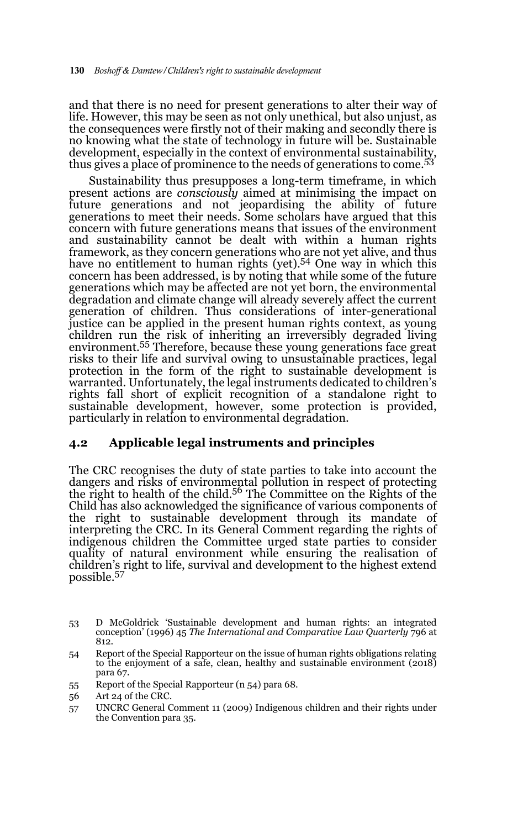and that there is no need for present generations to alter their way of life. However, this may be seen as not only unethical, but also unjust, as the consequences were firstly not of their making and secondly there is no knowing what the state of technology in future will be. Sustainable development, especially in the context of environmental sustainability, thus gives a place of prominence to the needs of generations to come.<sup>53</sup>

Sustainability thus presupposes a long-term timeframe, in which present actions are *consciously* aimed at minimising the impact on future generations and not jeopardising the ability of future generations to meet their needs. Some scholars have argued that this concern with future generations means that issues of the environment and sustainability cannot be dealt with within a human rights framework, as they concern generations who are not yet alive, and thus have no entitlement to human rights (yet).<sup>54</sup> One way in which this concern has been addressed, is by noting that while some of the future generations which may be affected are not yet born, the environmental degradation and climate change will already severely affect the current generation of children. Thus considerations of inter-generational justice can be applied in the present human rights context, as young children run the risk of inheriting an irreversibly degraded living environment.55 Therefore, because these young generations face great risks to their life and survival owing to unsustainable practices, legal protection in the form of the right to sustainable development is warranted. Unfortunately, the legal instruments dedicated to children's rights fall short of explicit recognition of a standalone right to sustainable development, however, some protection is provided, particularly in relation to environmental degradation.

### **4.2 Applicable legal instruments and principles**

The CRC recognises the duty of state parties to take into account the dangers and risks of environmental pollution in respect of protecting the right to health of the child.56 The Committee on the Rights of the Child has also acknowledged the significance of various components of the right to sustainable development through its mandate of interpreting the CRC. In its General Comment regarding the rights of indigenous children the Committee urged state parties to consider quality of natural environment while ensuring the realisation of children's right to life, survival and development to the highest extend possible.<sup>57</sup>

55 Report of the Special Rapporteur (n 54) para 68.

<sup>53</sup> D McGoldrick 'Sustainable development and human rights: an integrated conception' (1996) 45 *The International and Comparative Law Quarterly* 796 at 812.

<sup>54</sup> Report of the Special Rapporteur on the issue of human rights obligations relating to the enjoyment of a safe, clean, healthy and sustainable environment (2018) para 67.

<sup>56</sup> Art 24 of the CRC.

<sup>57</sup> UNCRC General Comment 11 (2009) Indigenous children and their rights under the Convention para 35.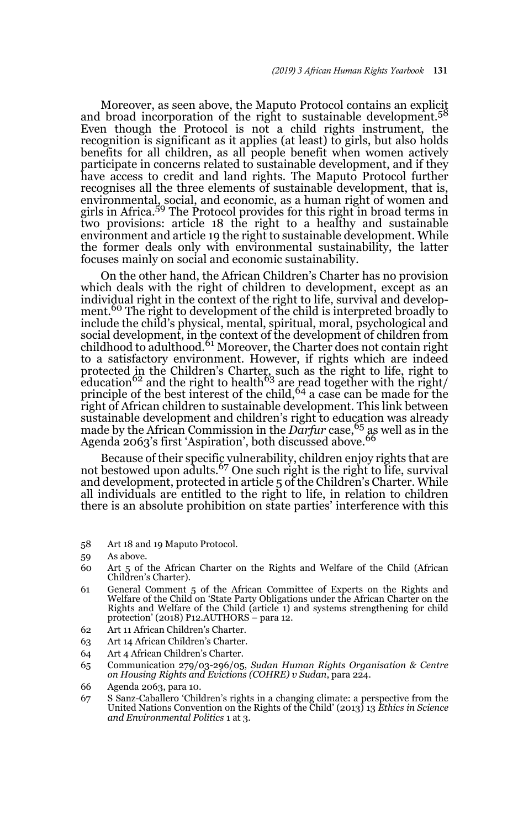Moreover, as seen above, the Maputo Protocol contains an explicit and broad incorporation of the right to sustainable development.<sup>58</sup> Even though the Protocol is not a child rights instrument, the recognition is significant as it applies (at least) to girls, but also holds benefits for all children, as all people benefit when women actively participate in concerns related to sustainable development, and if they have access to credit and land rights. The Maputo Protocol further recognises all the three elements of sustainable development, that is, environmental, social, and economic, as a human right of women and girls in Africa.59 The Protocol provides for this right in broad terms in two provisions: article 18 the right to a healthy and sustainable environment and article 19 the right to sustainable development. While the former deals only with environmental sustainability, the latter focuses mainly on social and economic sustainability.

On the other hand, the African Children's Charter has no provision which deals with the right of children to development, except as an individual right in the context of the right to life, survival and development.<sup>60</sup> The right to development of the child is interpreted broadly to include the child's physical, mental, spiritual, moral, psychological and social development, in the context of the development of children from childhood to adulthood.<sup>61</sup> Moreover, the Charter does not contain right to a satisfactory environment. However, if rights which are indeed protected in the Children's Charter, such as the right to life, right to<br>education<sup>62</sup> and the right to health<sup>63</sup> are read together with the right/ principle of the best interest of the child,  $64$  a case can be made for the right of African children to sustainable development. This link between sustainable development and children's right to education was already made by the African Commission in the *Darfur* case,<sup>65</sup> as well as in the Agenda 2063's first 'Aspiration', both discussed above.<sup>66</sup>

Because of their specific vulnerability, children enjoy rights that are<br>not bestowed upon adults.<sup>67</sup> One such right is the right to life, survival and development, protected in article 5 of the Children's Charter. While all individuals are entitled to the right to life, in relation to children there is an absolute prohibition on state parties' interference with this

- 58 Art 18 and 19 Maputo Protocol.
- 59 As above.
- 60 Art 5 of the African Charter on the Rights and Welfare of the Child (African Children's Charter).
- 61 General Comment 5 of the African Committee of Experts on the Rights and Welfare of the Child on 'State Party Obligations under the African Charter on the Rights and Welfare of the Child (article 1) and systems strengthening for child protection' (2018) P12.AUTHORS – para 12.
- 62 Art 11 African Children's Charter.
- 63 Art 14 African Children's Charter.
- 64 Art 4 African Children's Charter.
- 65 Communication 279/03-296/05, *Sudan Human Rights Organisation & Centre on Housing Rights and Evictions (COHRE) v Sudan*, para 224.
- 66 Agenda 2063, para 10.
- 67 S Sanz-Caballero 'Children's rights in a changing climate: a perspective from the United Nations Convention on the Rights of the Child' (2013) 13 *Ethics in Science and Environmental Politics* 1 at 3.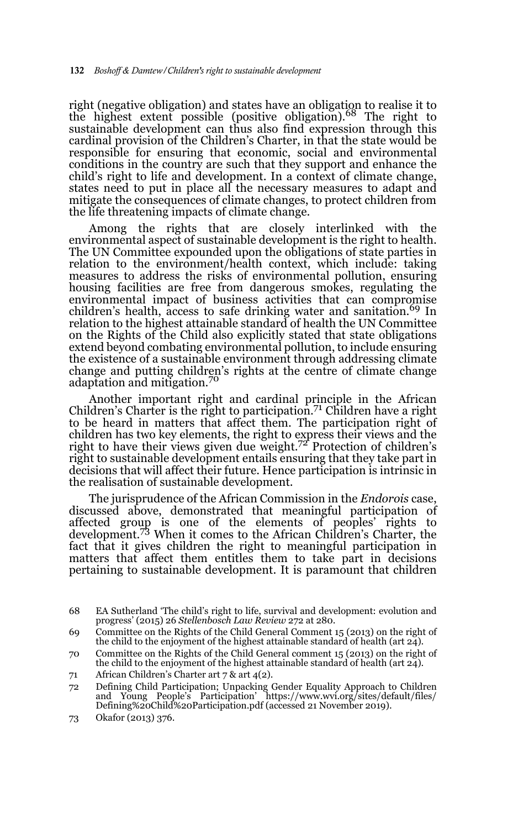right (negative obligation) and states have an obligation to realise it to the highest extent possible (positive obligation).68 The right to sustainable development can thus also find expression through this cardinal provision of the Children's Charter, in that the state would be responsible for ensuring that economic, social and environmental conditions in the country are such that they support and enhance the child's right to life and development. In a context of climate change, states need to put in place all the necessary measures to adapt and mitigate the consequences of climate changes, to protect children from the life threatening impacts of climate change.

Among the rights that are closely interlinked with the environmental aspect of sustainable development is the right to health. The UN Committee expounded upon the obligations of state parties in relation to the environment/health context, which include: taking measures to address the risks of environmental pollution, ensuring housing facilities are free from dangerous smokes, regulating the environmental impact of business activities that can compromise children's health, access to safe drinking water and sanitation.<sup>69</sup> In relation to the highest attainable standard of health the UN Committee on the Rights of the Child also explicitly stated that state obligations extend beyond combating environmental pollution, to include ensuring the existence of a sustainable environment through addressing climate change and putting children's rights at the centre of climate change adaptation and mitigation.<sup>70</sup>

Another important right and cardinal principle in the African Children's Charter is the right to participation.<sup>71</sup> Children have a right to be heard in matters that affect them. The participation right of children has two key elements, the right to express their views and the<br>right to have their views given due weight.<sup>72</sup> Protection of children's right to sustainable development entails ensuring that they take part in decisions that will affect their future. Hence participation is intrinsic in the realisation of sustainable development.

The jurisprudence of the African Commission in the *Endorois* case, discussed above, demonstrated that meaningful participation of affected group is one of the elements of peoples' rights to<br>development.<sup>73</sup> When it comes to the African Children's Charter, the fact that it gives children the right to meaningful participation in matters that affect them entitles them to take part in decisions pertaining to sustainable development. It is paramount that children

- 70 Committee on the Rights of the Child General comment 15 (2013) on the right of the child to the enjoyment of the highest attainable standard of health (art  $24$ ).
- 71 African Children's Charter art 7 & art 4(2).
- 72 Defining Child Participation; Unpacking Gender Equality Approach to Children and Young People's Participation' https://www.wvi.org/sites/default/files/ Defining%20Child%20Participation.pdf (accessed 21 November 2019).

<sup>68</sup> EA Sutherland 'The child's right to life, survival and development: evolution and progress' (2015) 26 *Stellenbosch Law Review* 272 at 280.

<sup>69</sup> Committee on the Rights of the Child General Comment 15 (2013) on the right of the child to the enjoyment of the highest attainable standard of health (art 24).

<sup>73</sup> Okafor (2013) 376.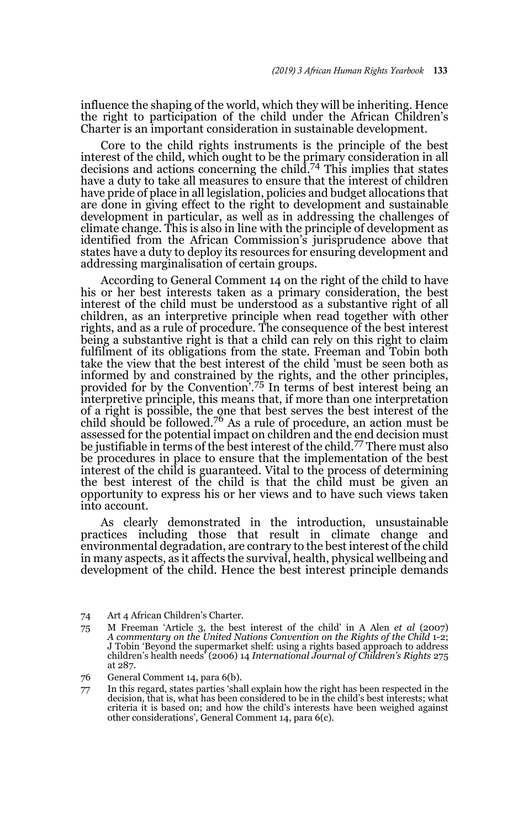influence the shaping of the world, which they will be inheriting. Hence the right to participation of the child under the African Children's Charter is an important consideration in sustainable development.

Core to the child rights instruments is the principle of the best interest of the child, which ought to be the primary consideration in all decisions and actions concerning the child.74 This implies that states have a duty to take all measures to ensure that the interest of children have pride of place in all legislation, policies and budget allocations that are done in giving effect to the right to development and sustainable development in particular, as well as in addressing the challenges of climate change. This is also in line with the principle of development as identified from the African Commission's jurisprudence above that states have a duty to deploy its resources for ensuring development and addressing marginalisation of certain groups.

According to General Comment 14 on the right of the child to have his or her best interests taken as a primary consideration, the best interest of the child must be understood as a substantive right of all children, as an interpretive principle when read together with other rights, and as a rule of procedure. The consequence of the best interest being a substantive right is that a child can rely on this right to claim fulfilment of its obligations from the state. Freeman and Tobin both take the view that the best interest of the child 'must be seen both as informed by and constrained by the rights, and the other principles, provided for by the Convention'.75 In terms of best interest being an interpretive principle, this means that, if more than one interpretation of a right is possible, the one that best serves the best interest of the child should be followed.<sup>76</sup> As a rule of procedure, an action must be assessed for the potential impact on children and the end decision must be justifiable in terms of the best interest of the child.77 There must also be procedures in place to ensure that the implementation of the best interest of the child is guaranteed. Vital to the process of determining the best interest of the child is that the child must be given an opportunity to express his or her views and to have such views taken into account.

As clearly demonstrated in the introduction, unsustainable practices including those that result in climate change and environmental degradation, are contrary to the best interest of the child in many aspects, as it affects the survival, health, physical wellbeing and development of the child. Hence the best interest principle demands

- 74 Art 4 African Children's Charter.
- 75 M Freeman 'Article 3, the best interest of the child' in A Alen *et al* (2007) *A commentary on the United Nations Convention on the Rights of the Child* 1-2; J Tobin 'Beyond the supermarket shelf: using a rights based approach to address children's health needs' (2006) 14 *International Journal of Children's Rights* 275 at 287.
- 76 General Comment 14, para 6(b).
- 77 In this regard, states parties 'shall explain how the right has been respected in the decision, that is, what has been considered to be in the child's best interests; what criteria it is based on; and how the child's interests have been weighed against other considerations', General Comment 14, para 6(c).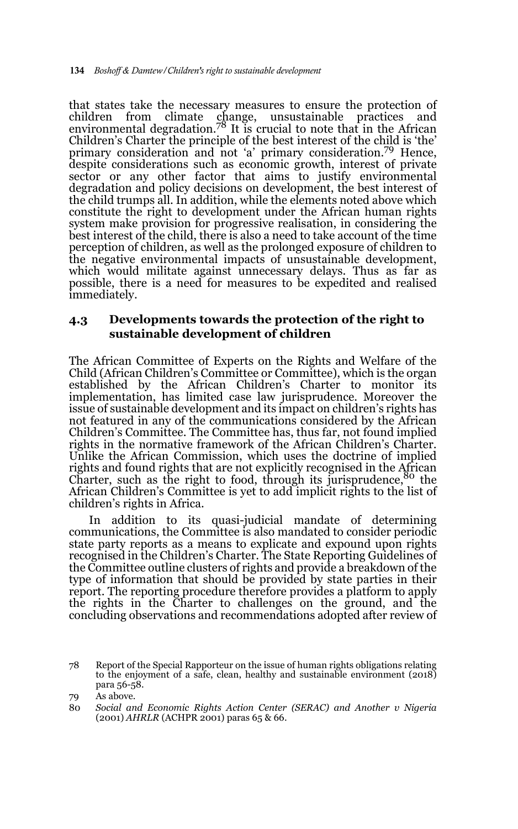that states take the necessary measures to ensure the protection of children from climate change, unsustainable practices and environmental degradation.78 It is crucial to note that in the African Children's Charter the principle of the best interest of the child is 'the' primary consideration and not 'a' primary consideration.79 Hence, despite considerations such as economic growth, interest of private sector or any other factor that aims to justify environmental degradation and policy decisions on development, the best interest of the child trumps all. In addition, while the elements noted above which constitute the right to development under the African human rights system make provision for progressive realisation, in considering the best interest of the child, there is also a need to take account of the time perception of children, as well as the prolonged exposure of children to the negative environmental impacts of unsustainable development, which would militate against unnecessary delays. Thus as far as possible, there is a need for measures to be expedited and realised immediately.

### **4.3 Developments towards the protection of the right to sustainable development of children**

The African Committee of Experts on the Rights and Welfare of the Child (African Children's Committee or Committee), which is the organ established by the African Children's Charter to monitor its implementation, has limited case law jurisprudence. Moreover the issue of sustainable development and its impact on children's rights has not featured in any of the communications considered by the African Children's Committee. The Committee has, thus far, not found implied rights in the normative framework of the African Children's Charter. Unlike the African Commission, which uses the doctrine of implied rights and found rights that are not explicitly recognised in the African Charter, such as the right to food, through its jurisprudence,<sup>80</sup> the African Children's Committee is yet to add implicit rights to the list of children's rights in Africa.

In addition to its quasi-judicial mandate of determining communications, the Committee is also mandated to consider periodic state party reports as a means to explicate and expound upon rights recognised in the Children's Charter. The State Reporting Guidelines of the Committee outline clusters of rights and provide a breakdown of the type of information that should be provided by state parties in their report. The reporting procedure therefore provides a platform to apply the rights in the Charter to challenges on the ground, and the concluding observations and recommendations adopted after review of

<sup>78</sup> Report of the Special Rapporteur on the issue of human rights obligations relating to the enjoyment of a safe, clean, healthy and sustainable environment (2018) para 56-58.

<sup>79</sup> As above.

<sup>80</sup> *Social and Economic Rights Action Center (SERAC) and Another v Nigeria* (2001) *AHRLR* (ACHPR 2001) paras 65 & 66.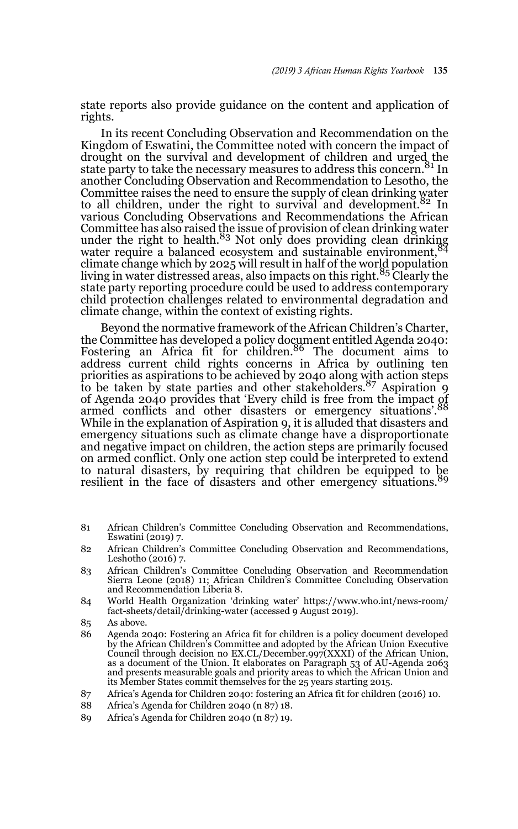state reports also provide guidance on the content and application of rights.

In its recent Concluding Observation and Recommendation on the Kingdom of Eswatini, the Committee noted with concern the impact of drought on the survival and development of children and urged the state party to take the necessary measures to address this concern.<sup>81</sup> In another Concluding Observation and Recommendation to Lesotho, the Committee raises the need to ensure the supply of clean drinking water<br>to all children, under the right to survival and development.<sup>82</sup> In various Concluding Observations and Recommendations the African Committee has also raised the issue of provision of clean drinking water under the right to health.83 Not only does providing clean drinking water require a balanced ecosystem and sustainable environment, 84 climate change which by 2025 will result in half of the world population living in water distressed areas, also impacts on this right.85 Clearly the state party reporting procedure could be used to address contemporary child protection challenges related to environmental degradation and climate change, within the context of existing rights.

Beyond the normative framework of the African Children's Charter, the Committee has developed a policy document entitled Agenda 2040:<br>Fostering an Africa fit for children.<sup>86</sup> The document aims to address current child rights concerns in Africa by outlining ten priorities as aspirations to be achieved by 2040 along with action steps to be taken by state parties and other stakeholders.87 Aspiration 9 of Agenda 2040 provides that 'Every child is free from the impact of armed conflicts and other disasters or emergency situations'.<sup>88</sup> While in the explanation of Aspiration 9, it is alluded that disasters and emergency situations such as climate change have a disproportionate and negative impact on children, the action steps are primarily focused on armed conflict. Only one action step could be interpreted to extend to natural disasters, by requiring that children be equipped to be resilient in the face of disasters and other emergency situations.

- 81 African Children's Committee Concluding Observation and Recommendations, Eswatini (2019) 7.
- 82 African Children's Committee Concluding Observation and Recommendations, Leshotho (2016) 7.
- 83 African Children's Committee Concluding Observation and Recommendation Sierra Leone (2018) 11; African Children's Committee Concluding Observation and Recommendation Liberia 8.
- 84 World Health Organization 'drinking water' https://www.who.int/news-room/ fact-sheets/detail/drinking-water (accessed 9 August 2019).
- 85 As above.
- 86 Agenda 2040: Fostering an Africa fit for children is a policy document developed by the African Children's Committee and adopted by the African Union Executive Council through decision no  $EX. CL/December.997(XXXI)$  of the African Union, as a document of the Union. It elaborates on Paragraph 53 of AU-Agenda 2063 and presents measurable goals and priority areas to which the African Union and its Member States commit themselves for the 25 years starting 2015.
- 87 Africa's Agenda for Children 2040: fostering an Africa fit for children (2016) 10.
- 88 Africa's Agenda for Children 2040 (n 87) 18.
- 89 Africa's Agenda for Children 2040 (n 87) 19.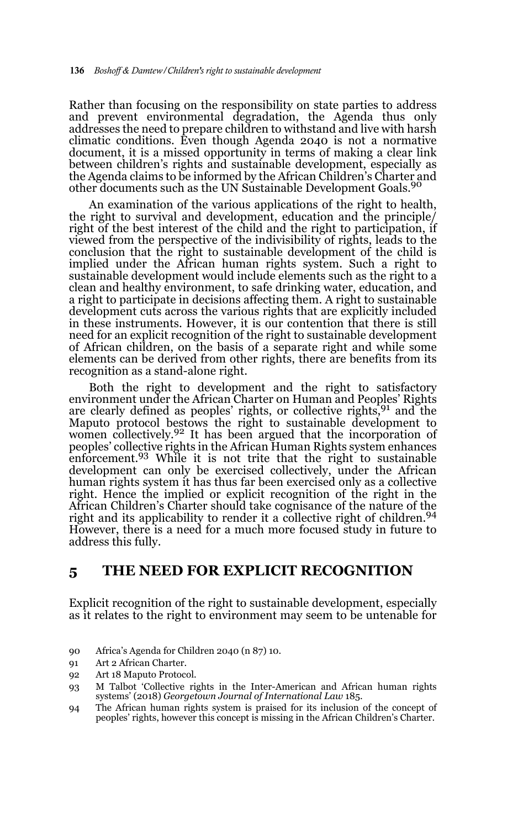Rather than focusing on the responsibility on state parties to address and prevent environmental degradation, the Agenda thus only addresses the need to prepare children to withstand and live with harsh climatic conditions. Even though Agenda 2040 is not a normative document, it is a missed opportunity in terms of making a clear link between children's rights and sustainable development, especially as the Agenda claims to be informed by the African Children's Charter and other documents such as the UN Sustainable Development Goals.<sup>90</sup>

An examination of the various applications of the right to health, the right to survival and development, education and the principle/ right of the best interest of the child and the right to participation, if viewed from the perspective of the indivisibility of rights, leads to the conclusion that the right to sustainable development of the child is implied under the African human rights system. Such a right to sustainable development would include elements such as the right to a clean and healthy environment, to safe drinking water, education, and a right to participate in decisions affecting them. A right to sustainable development cuts across the various rights that are explicitly included in these instruments. However, it is our contention that there is still need for an explicit recognition of the right to sustainable development of African children, on the basis of a separate right and while some elements can be derived from other rights, there are benefits from its recognition as a stand-alone right.

Both the right to development and the right to satisfactory environment under the African Charter on Human and Peoples' Rights are clearly defined as peoples' rights, or collective rights,<sup>91</sup> and the Maputo protocol bestows the right to sustainable development to women collectively.<sup>92</sup> It has been argued that the incorporation of peoples' collective rights in the African Human Rights system enhances<br>enforcement.<sup>93</sup> While it is not trite that the right to sustainable development can only be exercised collectively, under the African human rights system it has thus far been exercised only as a collective right. Hence the implied or explicit recognition of the right in the African Children's Charter should take cognisance of the nature of the right and its applicability to render it a collective right of children.<sup>94</sup> However, there is a need for a much more focused study in future to address this fully.

## **5 THE NEED FOR EXPLICIT RECOGNITION**

Explicit recognition of the right to sustainable development, especially as it relates to the right to environment may seem to be untenable for

- 90 Africa's Agenda for Children 2040 (n 87) 10.
- 91 Art 2 African Charter.
- 92 Art 18 Maputo Protocol.
- 93 M Talbot 'Collective rights in the Inter-American and African human rights systems' (2018) *Georgetown Journal of International Law* 185.
- 94 The African human rights system is praised for its inclusion of the concept of peoples' rights, however this concept is missing in the African Children's Charter.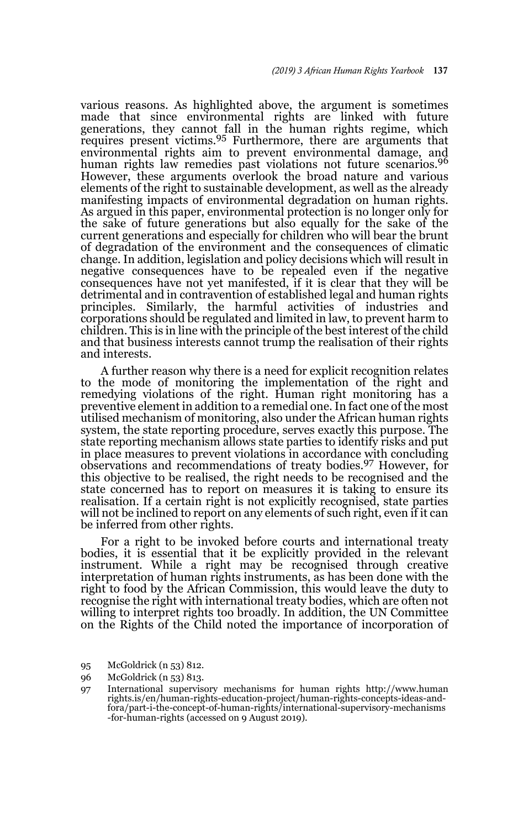various reasons. As highlighted above, the argument is sometimes made that since environmental rights are linked with future generations, they cannot fall in the human rights regime, which<br>requires present victims.<sup>95</sup> Furthermore, there are arguments that environmental rights aim to prevent environmental damage, and human rights law remedies past violations not future scenarios.<sup>96</sup> However, these arguments overlook the broad nature and various elements of the right to sustainable development, as well as the already manifesting impacts of environmental degradation on human rights. As argued in this paper, environmental protection is no longer only for the sake of future generations but also equally for the sake of the current generations and especially for children who will bear the brunt of degradation of the environment and the consequences of climatic change. In addition, legislation and policy decisions which will result in negative consequences have to be repealed even if the negative consequences have not yet manifested, if it is clear that they will be detrimental and in contravention of established legal and human rights principles. Similarly, the harmful activities of industries and corporations should be regulated and limited in law, to prevent harm to children. This is in line with the principle of the best interest of the child and that business interests cannot trump the realisation of their rights and interests.

A further reason why there is a need for explicit recognition relates to the mode of monitoring the implementation of the right and remedying violations of the right. Human right monitoring has a preventive element in addition to a remedial one. In fact one of the most utilised mechanism of monitoring, also under the African human rights system, the state reporting procedure, serves exactly this purpose. The state reporting mechanism allows state parties to identify risks and put in place measures to prevent violations in accordance with concluding observations and recommendations of treaty bodies.97 However, for this objective to be realised, the right needs to be recognised and the state concerned has to report on measures it is taking to ensure its realisation. If a certain right is not explicitly recognised, state parties will not be inclined to report on any elements of such right, even if it can be inferred from other rights.

For a right to be invoked before courts and international treaty bodies, it is essential that it be explicitly provided in the relevant instrument. While a right may be recognised through creative interpretation of human rights instruments, as has been done with the right to food by the African Commission, this would leave the duty to recognise the right with international treaty bodies, which are often not willing to interpret rights too broadly. In addition, the UN Committee on the Rights of the Child noted the importance of incorporation of

95 McGoldrick (n 53) 812.

<sup>96</sup> McGoldrick (n 53) 813.

<sup>97</sup> International supervisory mechanisms for human rights http://www.human rights.is/en/human-rights-education-project/human-rights-concepts-ideas-andfora/part-i-the-concept-of-human-rights/international-supervisory-mechanisms -for-human-rights (accessed on 9 August 2019).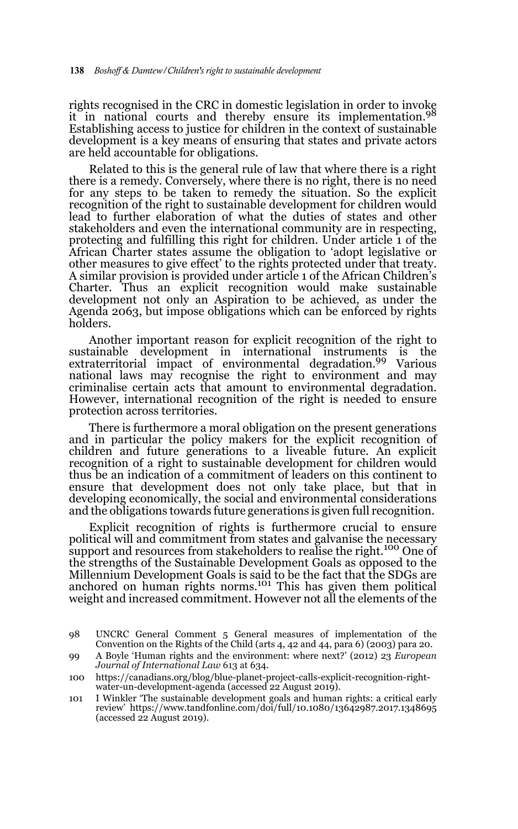rights recognised in the CRC in domestic legislation in order to invoke it in national courts and thereby ensure its implementation.<sup>98</sup> Establishing access to justice for children in the context of sustainable development is a key means of ensuring that states and private actors are held accountable for obligations.

Related to this is the general rule of law that where there is a right there is a remedy. Conversely, where there is no right, there is no need for any steps to be taken to remedy the situation. So the explicit recognition of the right to sustainable development for children would lead to further elaboration of what the duties of states and other stakeholders and even the international community are in respecting, protecting and fulfilling this right for children. Under article 1 of the African Charter states assume the obligation to 'adopt legislative or other measures to give effect' to the rights protected under that treaty. A similar provision is provided under article 1 of the African Children's Charter. Thus an explicit recognition would make sustainable development not only an Aspiration to be achieved, as under the Agenda 2063, but impose obligations which can be enforced by rights holders.

Another important reason for explicit recognition of the right to sustainable development in international instruments is the extraterritorial impact of environmental degradation.99 Various national laws may recognise the right to environment and may criminalise certain acts that amount to environmental degradation. However, international recognition of the right is needed to ensure protection across territories.

There is furthermore a moral obligation on the present generations and in particular the policy makers for the explicit recognition of children and future generations to a liveable future. An explicit recognition of a right to sustainable development for children would thus be an indication of a commitment of leaders on this continent to ensure that development does not only take place, but that in developing economically, the social and environmental considerations and the obligations towards future generations is given full recognition.

Explicit recognition of rights is furthermore crucial to ensure political will and commitment from states and galvanise the necessary support and resources from stakeholders to realise the right.<sup>100</sup> One of the strengths of the Sustainable Development Goals as opposed to the Millennium Development Goals is said to be the fact that the SDGs are<br>anchored on human rights norms.<sup>101</sup> This has given them political weight and increased commitment. However not all the elements of the

<sup>98</sup> UNCRC General Comment 5 General measures of implementation of the Convention on the Rights of the Child (arts 4, 42 and 44, para 6) (2003) para 20.

<sup>99</sup> A Boyle 'Human rights and the environment: where next?' (2012) 23 *European Journal of International Law* 613 at 634.

<sup>100</sup> https://canadians.org/blog/blue-planet-project-calls-explicit-recognition-rightwater-un-development-agenda (accessed 22 August 2019).

<sup>101</sup> I Winkler 'The sustainable development goals and human rights: a critical early review' https://www.tandfonline.com/doi/full/10.1080/13642987.2017.1348695 (accessed 22 August 2019).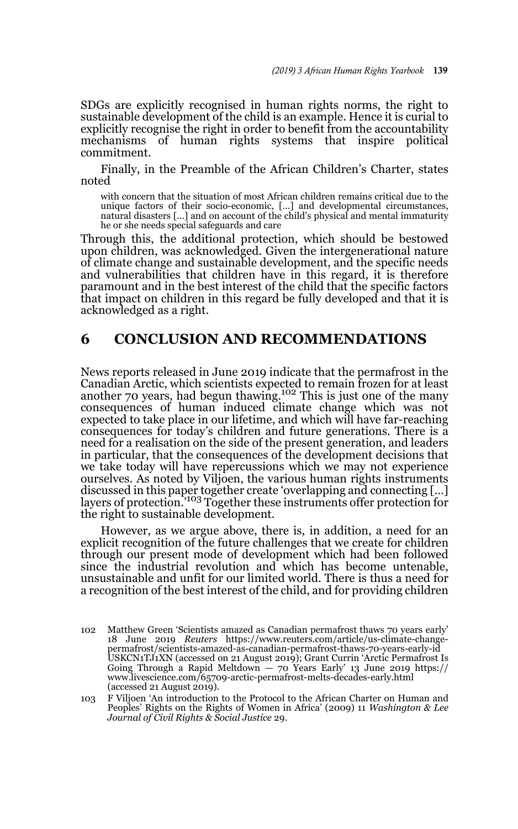SDGs are explicitly recognised in human rights norms, the right to sustainable development of the child is an example. Hence it is curial to explicitly recognise the right in order to benefit from the accountability mechanisms of human rights systems that inspire political commitment.

Finally, in the Preamble of the African Children's Charter, states noted

with concern that the situation of most African children remains critical due to the unique factors of their socio-economic, […] and developmental circumstances, natural disasters […] and on account of the child's physical and mental immaturity he or she needs special safeguards and care

Through this, the additional protection, which should be bestowed upon children, was acknowledged. Given the intergenerational nature of climate change and sustainable development, and the specific needs and vulnerabilities that children have in this regard, it is therefore paramount and in the best interest of the child that the specific factors that impact on children in this regard be fully developed and that it is acknowledged as a right.

## **6 CONCLUSION AND RECOMMENDATIONS**

News reports released in June 2019 indicate that the permafrost in the Canadian Arctic, which scientists expected to remain frozen for at least another 70 years, had begun thawing.<sup>102</sup> This is just one of the many consequences of human induced climate change which was not expected to take place in our lifetime, and which will have far-reaching consequences for today's children and future generations. There is a need for a realisation on the side of the present generation, and leaders in particular, that the consequences of the development decisions that we take today will have repercussions which we may not experience ourselves. As noted by Viljoen, the various human rights instruments discussed in this paper together create 'overlapping and connecting […] layers of protection.'103 Together these instruments offer protection for the right to sustainable development.

However, as we argue above, there is, in addition, a need for an explicit recognition of the future challenges that we create for children through our present mode of development which had been followed since the industrial revolution and which has become untenable, unsustainable and unfit for our limited world. There is thus a need for a recognition of the best interest of the child, and for providing children

<sup>102</sup> Matthew Green 'Scientists amazed as Canadian permafrost thaws 70 years early' 18 June 2019 *Reuters* https://www.reuters.com/article/us-climate-changepermafrost/scientists-amazed-as-canadian-permafrost-thaws-70-years-early-id USKCN1TJ1XN (accessed on 21 August 2019); Grant Currin 'Arctic Permafrost Is Going Through a Rapid Meltdown — 70 Years Early' 13 June 2019 https:// www.livescience.com/65709-arctic-permafrost-melts-decades-early.html (accessed 21 August 2019).

<sup>103</sup> F Viljoen 'An introduction to the Protocol to the African Charter on Human and Peoples' Rights on the Rights of Women in Africa' (2009) 11 *Washington & Lee Journal of Civil Rights & Social Justice* 29.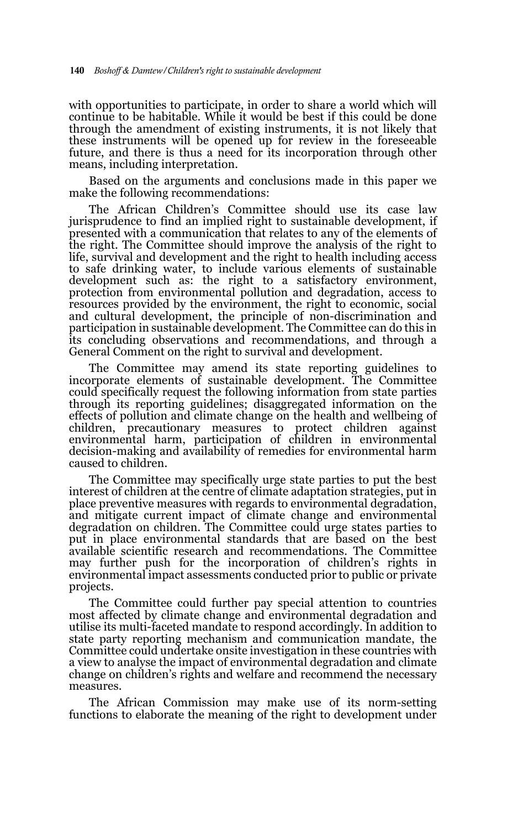with opportunities to participate, in order to share a world which will continue to be habitable. While it would be best if this could be done through the amendment of existing instruments, it is not likely that these instruments will be opened up for review in the foreseeable future, and there is thus a need for its incorporation through other means, including interpretation.

Based on the arguments and conclusions made in this paper we make the following recommendations:

The African Children's Committee should use its case law jurisprudence to find an implied right to sustainable development, if presented with a communication that relates to any of the elements of the right. The Committee should improve the analysis of the right to life, survival and development and the right to health including access to safe drinking water, to include various elements of sustainable development such as: the right to a satisfactory environment, protection from environmental pollution and degradation, access to resources provided by the environment, the right to economic, social and cultural development, the principle of non-discrimination and participation in sustainable development. The Committee can do this in its concluding observations and recommendations, and through a General Comment on the right to survival and development.

The Committee may amend its state reporting guidelines to incorporate elements of sustainable development. The Committee could specifically request the following information from state parties through its reporting guidelines; disaggregated information on the effects of pollution and climate change on the health and wellbeing of children, precautionary measures to protect children against environmental harm, participation of children in environmental decision-making and availability of remedies for environmental harm caused to children.

The Committee may specifically urge state parties to put the best interest of children at the centre of climate adaptation strategies, put in place preventive measures with regards to environmental degradation, and mitigate current impact of climate change and environmental degradation on children. The Committee could urge states parties to put in place environmental standards that are based on the best available scientific research and recommendations. The Committee may further push for the incorporation of children's rights in environmental impact assessments conducted prior to public or private projects.

The Committee could further pay special attention to countries most affected by climate change and environmental degradation and utilise its multi-faceted mandate to respond accordingly. In addition to state party reporting mechanism and communication mandate, the Committee could undertake onsite investigation in these countries with a view to analyse the impact of environmental degradation and climate change on children's rights and welfare and recommend the necessary measures.

The African Commission may make use of its norm-setting functions to elaborate the meaning of the right to development under